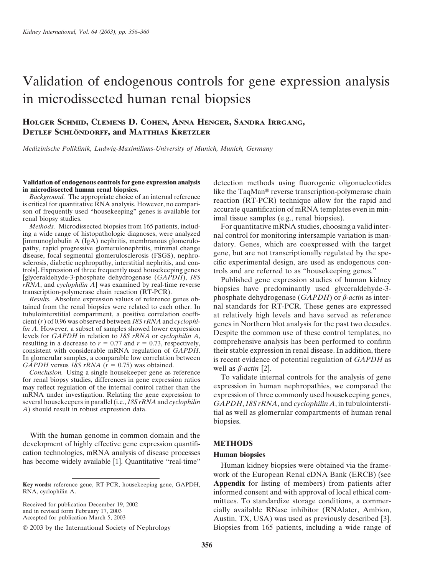# Validation of endogenous controls for gene expression analysis in microdissected human renal biopsies

### **HOLGER SCHMID, CLEMENS D. COHEN, ANNA HENGER, SANDRA IRRGANG, DETLEF SCHLO¨ NDORFF, and MATTHIAS KRETZLER**

*Medizinische Poliklinik, Ludwig-Maximilians-University of Munich, Munich, Germany*

## **Validation of endogenous controls for gene expression analysis** detection methods using fluorogenic oligonucleotides<br>in microdissected human renal biopsies.

renal biopsy studies.<br> *Methods*. Microdissected biopsies from 165 patients, includ-<br>
For quantitative mRNA studies, choosing-<br>
For quantitative mRNA studies, choosing-

ing a wide range of histopathologic diagnoses, were analyzed<br>
[immunoglobulin A (IgA) nephritis, membranous glomerulo-<br>
pathy, rapid progressive glomerulonephritis, minimal change<br>
disease, focal segmental glomeruloscleros sclerosis, diabetic nephropathy, interstitial nephritis, and controls]. Expression of three frequently used housekeeping genes<br>
[glyceraldehyde-3-phosphate dehydrogenase (GAPDH), 18S<br>
rRNA, and cyclophilin A] was examined by real-time reverse<br>
transcription-polymerase chain reaction (R

tained from the renal biopsies were related to each other. In nal standards for RT-PCR. These genes are expressed tubulointerstitial compartment, a positive correlation coeffi-<br>cient (r) of 0.96 was observed between 18S rRNA and cyclophi-<br>lin A. However, a subset of samples showed lower expression<br>levels for GAPDH in relation to 18S resulting in a decrease to  $r = 0.77$  and  $r = 0.73$ , respectively, consistent with considerable mRNA regulation of *GAPDH*. consistent with considerable mRNA regulation of *GAPDH*. their stable expression in renal disease. In addition, there In glomerular samples, a comparable low correlation between is recent evidence of potential regulation o In glomerular samples, a comparable low correlation between is recent evidence of potential regulation of *GAPDH* as *GAPDH* crsus 18S rRNA ( $r = 0.75$ ) was obtained.

GAPDH versus 185 PRNA ( $r = 0.75$ ) was obtained.<br>Conclusion. Using a single housekeeper gene as reference<br>for renal biopsy studies, differences in gene expression ratios and the may reflect regulation of the internal contr may reflect regulation of the internal control rather than the mRNA under investigation. Relating the gene expression to mRNA under investigation. Relating the gene expression to expression of three commonly used housekeeping genes, several housekeepers in parallel (i.e., 18S rRNA and cyclophilin  $GAPDH$  18S rRNA and cyclophilin A in tubuloin

With the human genome in common domain and the development of highly effective gene expression quantifi- **METHODS** cation technologies, mRNA analysis of disease processes **Human biopsies**

RNA, cyclophilin A. informed consent and with approval of local ethical com-

in microdissected human renal biopsies.<br> *Background*. The appropriate choice of an internal reference<br>
is critical for quantitative RNA analysis. However, no compari-<br>
son of frequently used "housekeeping" genes is availa

*Methods.* Microdissected biopsies from 165 patients, includ-<br>ing a wide range of histopathologic diagnoses, were analyzed and control for monitoring intersample variation is man-

*Results.* Absolute expression values of reference genes ob-<br>  $\frac{1}{2}$  phosphate dehydrogenase (*GAPDH*) or  $\beta$ *-actin* as inter-

several housekeepers in parallel (i.e., 18S rRNA and cyclophilin  $GAPDH$ , 18S rRNA, and cyclophilin A, in tubulointersti-<br>A) should result in robust expression data.<br>iial as well as glomerular compartments of human renal biopsies.

Human kidney biopsies were obtained via the framework of the European Renal cDNA Bank (ERCB) (see **Key words:** reference gene, RT-PCR, housekeeping gene, GAPDH, **Appendix** for listing of members) from patients after Received for publication December 19, 2002<br>
and in revised form February 17, 2003<br>
RNase inhibitor (RNAlater, Ambion, cially available RNase inhibitor (RNAlater, Ambion, Accepted for publication March 5, 2003 Austin, TX, USA) was used as previously described [3]. 2003 by the International Society of Nephrology Biopsies from 165 patients, including a wide range of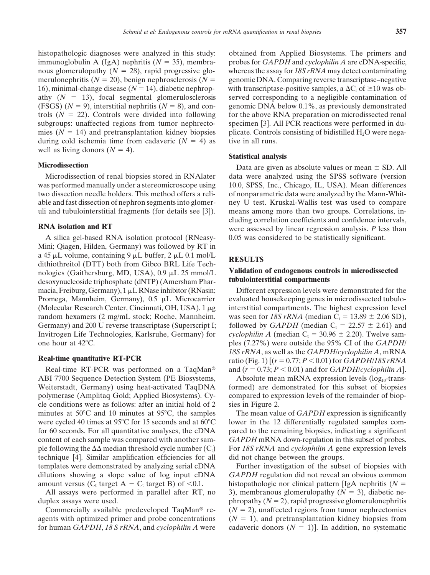16), minimal-change disease  $(N = 14)$ , diabetic nephropduring cold ischemia time from cadaveric  $(N = 4)$  as tive in all runs. well as living donors  $(N = 4)$ .<br>**Statistical analysis** 

Mini; Qiagen, Hilden, Germany) was followed by RT in a 45 µL volume, containing 9 µL buffer, 2 µL 0.1 mol/L<br>dithiothreitol (DTT) both from Gibco BRL Life Tech-<br>nologies (Gaithersburg, MD, USA), 0.9 µL 25 mmol/L<br>**Validation of endogenous controls in microdissected**<br>desoyvnuc desoxynucleoside triphosphate (dNTP) (Amersham Pharmacia, Freiburg, Germany), 1 µL RNase inhibitor (RNasin; Different expression levels were demonstrated for the

ABI 7700 Sequence Detection System (PE Biosystems, Absolute mean mRNA expression levels  $(log_{10}$ -transcle conditions were as follows: after an initial hold of 2 sies in Figure 2. minutes at 50°C and 10 minutes at 95°C, the samples The mean value of *GAPDH* expression is significantly ple following the  $\Delta\Delta$ technique [4]. Similar amplification efficiencies for all did not change between the groups. templates were demonstrated by analyzing serial cDNA Further investigation of the subset of biopsies with

histopathologic diagnoses were analyzed in this study: obtained from Applied Biosystems. The primers and immunoglobulin A (IgA) nephritis (*N* 35), membra- probes for *GAPDH* and *cyclophilin A* are cDNA-specific, nous glomerulopathy ( $N = 28$ ), rapid progressive glo- whereas the assay for *18S rRNA* may detect contaminating merulonephritis  $(N = 20)$ , benign nephrosclerosis  $(N =$  genomic DNA. Comparing reverse transcriptase–negative with transcriptase-positive samples, a  $\Delta C_t$  of  $\geq 10$  was obathy  $(N = 13)$ , focal segmental glomerulosclerosis served corresponding to a negligible contamination of (FSGS)  $(N = 9)$ , interstitial nephritis  $(N = 8)$ , and con- genomic DNA below 0.1%, as previously demonstrated trols  $(N = 22)$ . Controls were divided into following for the above RNA preparation on microdissected renal subgroups: unaffected regions from tumor nephrecto-<br>specimen [3]. All PCR reactions were performed in dumies ( $N = 14$ ) and pretransplantation kidney biopsies plicate. Controls consisting of bidistilled H<sub>2</sub>O were nega-

**Microdissection** Data are given as absolute values or mean  $\pm$  SD. All Microdissection of renal biopsies stored in RNAlater data were analyzed using the SPSS software (version was performed manually under a stereomicroscope using 10.0, SPSS, Inc., Chicago, IL, USA). Mean differences two dissection needle holders. This method offers a reli- of nonparametric data were analyzed by the Mann-Whitable and fast dissection of nephron segments into glomer- ney U test. Kruskal-Wallis test was used to compare uli and tubulointerstitial fragments (for details see [3]). means among more than two groups. Correlations, in-**RNA isolation and RT** cluding correlation coefficients and confidence intervals, were assessed by linear regression analysis. *P* less than A silica gel-based RNA isolation protocol (RNeasy- 0.05 was considered to be statistically significant.

Promega, Mannheim, Germany),  $0.5 \mu L$  Microcarrier evaluated housekeeping genes in microdissected tubulo-(Molecular Research Center, Cincinnati, OH, USA),  $1 \mu$ g interstitial compartments. The highest expression level random hexamers (2 mg/mL stock; Roche, Mannheim, was seen for 18S rRNA (median  $C_t = 13.89 \pm 2.06$  SD), Germany) and 200 U reverse transcriptase (Superscript I; followed by *GAPDH* (median  $C_t = 22.57 \pm 2.61$ ) and Invitrogen Life Technologies, Karlsruhe, Germany) for *cyclophilin A* (median  $C_t = 30.96 \pm 2.20$ ). Twelve sam-<br>ples (7.27%) were outside the 95% CI of the *GAPDH* ples (7.27%) were outside the 95% CI of the *GAPDH 18S rRNA*, as well as the *GAPDH*/*cyclophilin A*, mRNA **Real-time quantitative RT-PCR** ratio (Fig. 1)  $[(r = 0.77; P < 0.01)$  for  $GAPDH/18S rRNA$ Real-time RT-PCR was performed on a TaqMan<sup>®</sup> and  $(r = 0.73; P < 0.01)$  and for *GAPDH*/*cyclophilin A*].

Weiterstadt, Germany) using heat-activated TaqDNA formed) are demonstrated for this subset of biopsies polymerase (Amplitaq Gold; Applied Biosystems). Cy- compared to expression levels of the remainder of biop-

were cycled 40 times at  $95^{\circ}$ C for 15 seconds and at  $60^{\circ}$ C lower in the 12 differentially regulated samples comfor 60 seconds. For all quantitative analyses, the cDNA pared to the remaining biopsies, indicating a significant content of each sample was compared with another sam- *GAPDH* mRNA down-regulation in this subset of probes. For 18S rRNA and *cyclophilin A* gene expression levels

dilutions showing a slope value of log input cDNA *GAPDH* regulation did not reveal an obvious common amount versus ( $C_t$  target  $A - C_t$  target B) of <0.1. histopathologic nor clinical pattern [IgA nephritis ( $N =$ All assays were performed in parallel after RT, no  $\,$  3), membranous glomerulopathy ( $N = 3$ ), diabetic neduplex assays were used. **phropathy (** $N = 2$ **)**, rapid progressive glomerulonephritis Commercially available predeveloped TaqMan<sup>®</sup> re-  $(N = 2)$ , unaffected regions from tumor nephrectomies agents with optimized primer and probe concentrations  $(N = 1)$ , and pretransplantation kidney biopsies from for human *GAPDH*, 18 S rRNA, and *cyclophilin A* were cadaveric donors  $(N = 1)$ . In addition, no systematic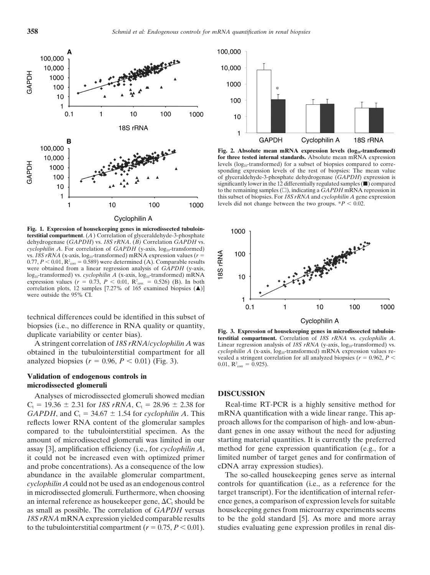

**Fig. 1. Expression of housekeeping genes in microdissected tubulointerstitial compartment**. (*A*) Correlation of glyceraldehyde-3-phosphate dehydrogenase (*GAPDH*) vs. *18S rRNA*. (*B)* Correlation *GAPDH* vs. *cyclophilin A*. For correlation of *GAPDH* (y-axis, log<sub>10</sub>-transformed) vs.  $18S rRNA$  (x-axis,  $log_{10}$ -transformed) mRNA expression values ( $r =$  $(0.77, P < 0.01, R^2)$ <sub>corr</sub> = 0.589) were determined (A). Comparable results were obtained from a linear regression analysis of *GAPDH* (y-axis, log<sub>10</sub>-transformed) vs. *cyclophilin A* (x-axis, log<sub>10</sub>-transformed) mRNA expression values ( $r = 0.73$ ,  $P < 0.01$ ,  $R^2_{\text{corr.}} = 0.526$ ) (B). In both correlation plots, 12 samples [7.27% of 165 examined biopsies  $(A)$ ] were outside the 95% CI.

technical differences could be identified in this subset of Expression of housekeeping genes in microdissected tubuloin-<br>duplicate variability or center bias).<br>duplicate variability or center bias).<br>terstitial compartment. Correlation of 18S rRNA vs. cyclophilin A.

obtained in the tubulointerstitial compartment for all *cyclophilin A* (x-axis, log<sub>10</sub>-transformed) mRNA expression values re-<br>cyclophilin A (x-axis, log<sub>10</sub>-transformed) mRNA expression values re-<br>cyclophilin A (x-axis, analyzed biopsies ( $r = 0.96$ ,  $P < 0.01$ ) (Fig. 3).

### **Validation of endogenous controls in microdissected glomeruli**

Analyses of microdissected glomeruli showed median **DISCUSSION**  $C_t = 19.36 \pm 2.31$  for *18S rRNA*,  $C_t = 28.96 \pm 2.38$  for Real-time RT-PCR is a highly sensitive method for *GAPDH*, and  $C_1 = 34.67 \pm 1.54$  for *cyclophilin A*. This mRNA quantification with a wide linear range. This apreflects lower RNA content of the glomerular samples proach allows for the comparison of high- and low-abuncompared to the tubulointerstitial specimen. As the dant genes in one assay without the need for adjusting amount of microdissected glomeruli was limited in our starting material quantities. It is currently the preferred assay [3], amplification efficiency (i.e., for *cyclophilin A*, method for gene expression quantification (e.g., for a it could not be increased even with optimized primer limited number of target genes and for confirmation of and probe concentrations). As a consequence of the low cDNA array expression studies). abundance in the available glomerular compartment, The so-called housekeeping genes serve as internal *cyclophilin A* could not be used as an endogenous control controls for quantification (i.e., as a reference for the in microdissected glomeruli. Furthermore, when choosing target transcript). For the identification of internal referan internal reference as housekeeper gene,  $\Delta C_1$  should be as small as possible. The correlation of *GAPDH* versus housekeeping genes from microarray experiments seems 18S rRNA mRNA expression yielded comparable results to be the gold standard [5]. As more and more array to the tubulointerstitial compartment  $(r = 0.75, P \le 0.01)$ . studies evaluating gene expression profiles in renal dis-



Fig. 2. Absolute mean mRNA expression levels (log<sub>10</sub>-transformed) **for three tested internal standards.** Absolute mean mRNA expression levels ( $log_{10}$ -transformed) for a subset of biopsies compared to corresponding expression levels of the rest of biopsies: The mean value of glyceraldehyde-3-phosphate dehydrogenase (*GAPDH*) expression is significantly lower in the 12 differentially regulated samples  $(\blacksquare)$  compared to the remaining samples  $(\square)$ , indicating a  $GAPDH$  mRNA repression in this subset of biopsies. For *18S rRNA* and *cyclophilin A* gene expression levels did not change between the two groups.  $*P < 0.02$ .



A stringent correlation of *18S rRNA/cyclophilin A* was Linear regression analysis of *18S rRNA* (y-axis, log<sub>10</sub>-transformed) vs.<br>
tained in the tubulointerstitial compartment for all *cyclophilin A* (x-axis, log<sub>10</sub>-tran 0.01,  $R^2_{corr} = 0.925$ .

ence genes, a comparison of expression levels for suitable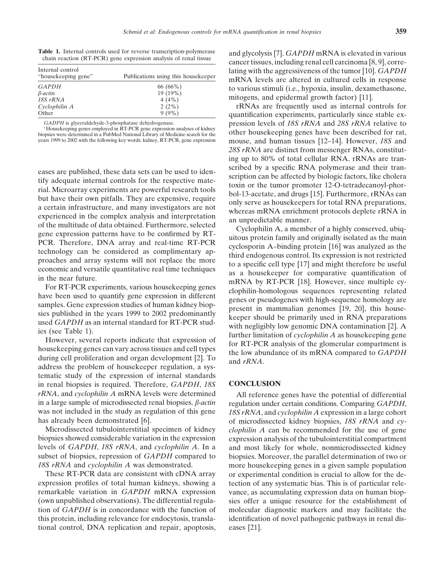| <b>Table 1.</b> Internal controls used for reverse transcription-polymerase |                                                                  |  |  |  |
|-----------------------------------------------------------------------------|------------------------------------------------------------------|--|--|--|
|                                                                             | chain reaction (RT-PCR) gene expression analysis of renal tissue |  |  |  |

| Internal control<br>"housekeeping gene" | Publications using this housekeeper |  |  |  |  |
|-----------------------------------------|-------------------------------------|--|--|--|--|
| <b>GAPDH</b>                            | 66(66%)                             |  |  |  |  |
| $β-actin$                               | 19 (19%)                            |  |  |  |  |
| 18S rRNA                                | 4(4%)                               |  |  |  |  |
| Cyclophilin A                           | 2(2%)                               |  |  |  |  |
| Other                                   | $9(9\%)$                            |  |  |  |  |

tematic study of the expression of internal standards in renal biopsies is required. Therefore, *GAPDH*, *18S* **CONCLUSION** *rRNA*, and *cyclophilin A* mRNA levels were determined All reference genes have the potential of differential

tional control, DNA replication and repair, apoptosis, eases [21].

<sup>e</sup> and glycolysis [7].  $GAPDH$  mRNA is elevated in various<br>
cancer tissues, including renal cell carcinoma [8, 9], correlating with the aggressiveness of the tumor [10]. *GAPDH*  $mRNA$  levels are altered in cultured cells in response *to* various stimuli (i.e., hypoxia, insulin, dexamethasone, mitogens, and epidermal growth factor) [11].

*c*RNAs are frequently used as internal controls for quantification experiments, particularly since stable ex-GADPH is glyceraldehyde-3-phosphatase dehydrogenase.<br>
"Housekeeping genes employed in RT-PCR gene expression analyses of kidney<br>
biopsies were determined in a PubMed National Library of Medicine search for the<br>
years 1999 mouse, and human tissues [12–14]. However, *18S* and *28S rRNA* are distinct from messenger RNAs, constituting up to 80% of total cellular RNA. rRNAs are tran-

eases are published, these data sets can be used to iden<br>scription can be affected by biologic factors, like cholera<br>frial Adiccoraria controls for the respective mate-<br>frial Microarray experiments are powerful research to

in a large sample of microdissected renal biopsies.  $\beta$ *-actin* regulation under certain conditions. Comparing *GAPDH*, was not included in the study as regulation of this gene *18S rRNA*, and *cyclophilin A* expression in a large cohort has already been demonstrated [6]. of microdissected kidney biopsies, 18S rRNA and *cy*-Microdissected tubulointerstitial specimen of kidney *clophilin A* can be recommended for the use of gene biopsies showed considerable variation in the expression expression analysis of the tubulointerstitial compartment levels of *GAPDH*, *18S rRNA*, and *cyclophilin A*. In a and most likely for whole, nonmicrodissected kidney subset of biopsies, repression of *GAPDH* compared to biopsies. Moreover, the parallel determination of two or *18S rRNA* and *cyclophilin A* was demonstrated. more housekeeping genes in a given sample population These RT-PCR data are consistent with cDNA array or experimental condition is crucial to allow for the deexpression profiles of total human kidneys, showing a tection of any systematic bias. This is of particular releremarkable variation in *GAPDH* mRNA expression vance, as accumulating expression data on human biop- (own unpublished observations). The differential regula- sies offer a unique resource for the establishment of tion of *GAPDH* is in concordance with the function of molecular diagnostic markers and may facilitate the this protein, including relevance for endocytosis, transla- identification of novel pathogenic pathways in renal dis-